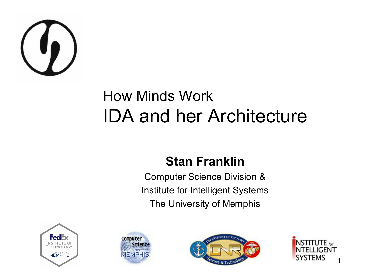

#### How Minds Work IDA and her Architecture

#### **Stan Franklin**

Computer Science Division & Institute for Intelligent Systems The University of Memphis







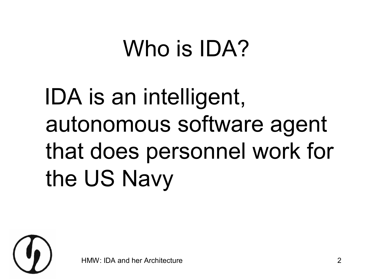## Who is **IDA?**

## IDA is an intelligent, autonomous software agent that does personnel work for the US Navy

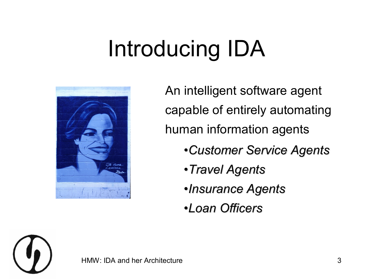## Introducing IDA



An intelligent software agent capable of entirely automating human information agents

- *Customer Service Agents*
- *Travel Agents*
- *Insurance Agents*
- *Loan Officers*

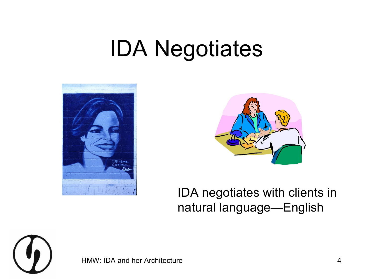## IDA Negotiates





#### IDA negotiates with clients in natural language—English

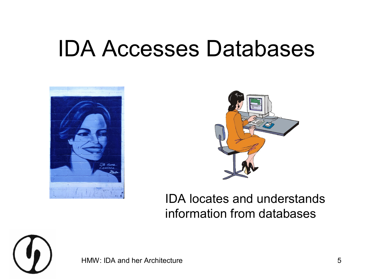#### IDA Accesses Databases





#### IDA locates and understands information from databases

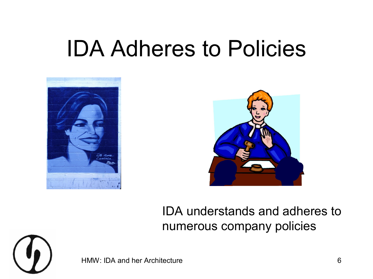#### IDA Adheres to Policies





#### IDA understands and adheres to numerous company policies

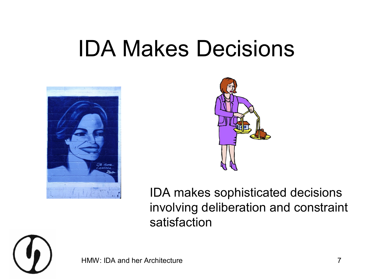#### IDA Makes Decisions





IDA makes sophisticated decisions involving deliberation and constraint satisfaction



HMW: IDA and her Architecture **7** and the *7* and 7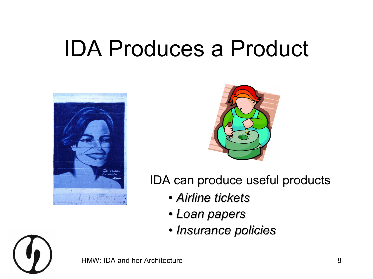## IDA Produces a Product





IDA can produce useful products

- *Airline tickets*
- *Loan papers*
- *Insurance policies*

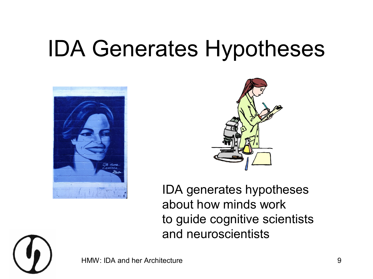## IDA Generates Hypotheses





IDA generates hypotheses about how minds work to guide cognitive scientists and neuroscientists

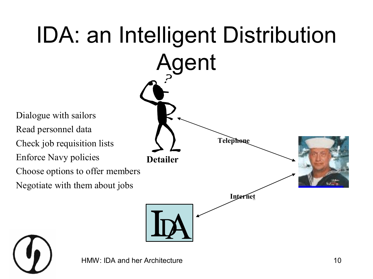

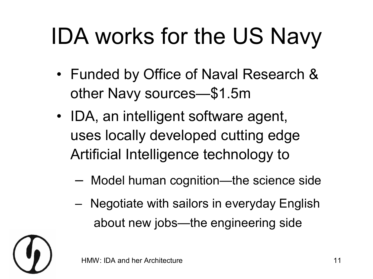# IDA works for the US Navy

- Funded by Office of Naval Research & other Navy sources—\$1.5m
- IDA, an intelligent software agent, uses locally developed cutting edge Artificial Intelligence technology to
	- Model human cognition—the science side
	- Negotiate with sailors in everyday English about new jobs—the engineering side

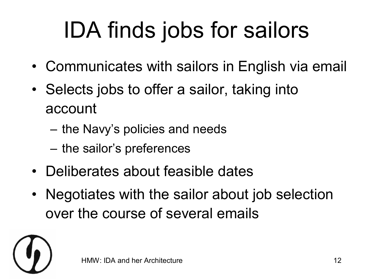# IDA finds jobs for sailors

- Communicates with sailors in English via email
- Selects jobs to offer a sailor, taking into account
	- the Navy's policies and needs
	- the sailor's preferences
- Deliberates about feasible dates
- Negotiates with the sailor about job selection over the course of several emails

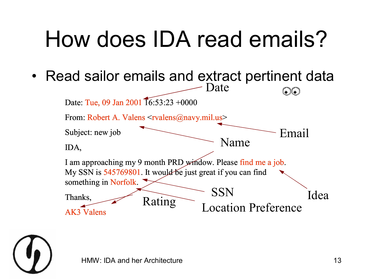## How does IDA read emails?

• Read sailor emails and extract pertinent data  $\frac{1}{2}$ 



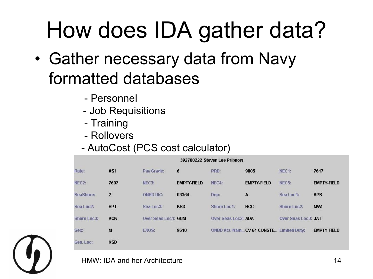## How does IDA gather data?

- Gather necessary data from Navy formatted databases
	- Personnel
	- Job Requisitions
	- Training
	- Rollovers
	- AutoCost (PCS cost calculator)

|             |                 |                     |                            | 392700222 Steven Lee Pribnow |                                          |                     |                    |
|-------------|-----------------|---------------------|----------------------------|------------------------------|------------------------------------------|---------------------|--------------------|
| Rate:       | AS <sub>1</sub> | Pay Grade:          | 6                          | PRD:                         | 9805                                     | NEC1:               | 7617               |
| NEC2:       | 7607            | NEC3:               | <b>EMPTY-FIELD</b>         | NEC4:                        | <b>EMPTY-FIELD</b>                       | NEC <sub>5</sub> :  | <b>EMPTY-FIELD</b> |
| SeaShore:   | $\overline{2}$  | <b>ONBD LIIC:</b>   | <b>CONTRACTOR</b><br>03364 | Dep:                         | A                                        | Sea Loc 1:          | <b>KPS</b>         |
| Sea Loc2:   | <b>BPT</b>      | Sea Loc3:           | <b>KSD</b>                 | Shore Loc 1:                 | <b>HCC</b>                               | Shore Loc2:         | <b>MWI</b>         |
| Shore Loc3: | <b>KCK</b>      | Over Seas Loc1: GUM |                            | Over Seas Loc2: ADA          |                                          | Over Seas Loc3: JAT |                    |
| Sex:        | M               | EAOS:               | 9610                       |                              | ONBD Act. Nam CV 64 CONSTE Limited Duty: |                     | <b>EMPTY-FIELD</b> |
| Geo. Loc:   | <b>KSD</b>      |                     |                            |                              |                                          |                     |                    |

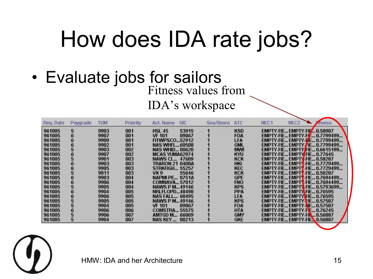## How does IDA rate jobs?

• Evaluate jobs for sailors Fitness values from

IDA's workspace

| Reg. Date | Pavorade | <b>TUM</b> | Priority | Act. Name             | <b>UIC</b> | <b>Sea/Shore</b> | <b>ATC</b> | NEC <sub>1</sub> | NEC <sub>2</sub>                           | <b>Atness</b>                 |
|-----------|----------|------------|----------|-----------------------|------------|------------------|------------|------------------|--------------------------------------------|-------------------------------|
| 961005    | 5        | 9903       | 001      | <b>HSL 45</b>         | 53915      |                  | <b>KSD</b> |                  | <b>EMPTY-FIE EMPTY-FIF 0.58987</b>         |                               |
| 961005    |          | 9907       | 001      | VF 101                | 09067      |                  | FOA        |                  |                                            | EMPTY-FIE EMPTY-FIE 0.7799499 |
| 961005    |          | 9909       | 001      | <b>FITWPSCO52912</b>  |            |                  | <b>LFA</b> |                  |                                            | EMPTY-FIE EMPTY-ME 0.7799499  |
| 961005    |          | 9902       | 001      | <b>NAS WHFL60508</b>  |            |                  | <b>GML</b> |                  |                                            | EMPTY-FIE EMPTY-FIE 0.7799499 |
| 961005    |          | 9903       | 002      | <b>NAS WHID 00620</b> |            |                  | <b>MWI</b> |                  |                                            | EMPTY-FIE EMPTY/FIE 0.6615199 |
| 961005    |          | 9907       | 002      | <b>MCAS YUMA62974</b> |            |                  | KYU        |                  | EMPTY-FIE EMPTY <mark>-FIE 0.77645</mark>  |                               |
| 961005    |          | 9901       | 003      | <b>NAWS CL 47609</b>  |            |                  | KCK        |                  | EMPTY-FIE EMPTY-FIE 0.58287                |                               |
| 961005    |          | 9903       | 003      | TRARON 21 0400A       |            |                  | <b>HKI</b> |                  |                                            | EMPTY-FIE EMPTY-FIE 0.7729499 |
| 961005    |          | 9905       | 003      | <b>STRKFIGH 55257</b> |            |                  | KEC        |                  |                                            | EMPTY-FIE EMPTY-FIE 0.7729499 |
| 961005    |          | 9811       | 003      | VX 9                  | 55646      |                  | KCK        |                  | <b>EMPTY-FIE EMPTY-FIE 0.58287</b>         |                               |
| 961005    | D        | 9903       | 004      | <b>NAPMLPE 0751A</b>  |            |                  | <b>GPE</b> |                  |                                            | EMPTY-FIE EMPTY-FIE 0.7694499 |
| 961005    |          | 9906       | 004      | <b>COMNAVA57012</b>   |            |                  | <b>FNO</b> |                  |                                            | EMPTY-FIE EMPTY-FIE 0.7694499 |
| 961005    |          | 9905       | 004      | <b>NAWS P M49146</b>  |            |                  | <b>KPS</b> |                  |                                            | EMPTY-FIE EMPTY-FIE 0.5793699 |
| 961005    |          | 9904       | 005      | <b>NRLFLOPD48498</b>  |            |                  | PPA        |                  | EMPTY-FIE EMPTY-FIE 0.76595                |                               |
| 961005    |          | 9906       | 005      | <b>NAS FALL 60495</b> |            |                  | <b>LFA</b> |                  | EMPTY-FIE EMPTY <mark>I</mark> FIE 0.76595 |                               |
| 961005    |          | 9905       | 005      | <b>NAWS P M49146</b>  |            |                  | <b>KPS</b> |                  | EMPTY-FIE EMPTY FIE 0.57587                |                               |
| 961005    |          | 9904       | 005      | VF 101                | 09067      |                  | FOA        |                  | <b>EMPTY-FIE EMPTY-NE 0.57587</b>          |                               |
| 961005    |          | 9906       | 006      | <b>COMSTRA 55575</b>  |            |                  | HTA        |                  | EMPTY-FIE EMPTY-FIE 0.76245                |                               |
| 961005    |          | 9906       | 007      | AMTGD M               | 66069      |                  | <b>GMY</b> |                  | <b>EMPTY-FIE EMPTY-FIN 0.56887</b>         |                               |
| 961005    | 5        | 9904       | 007      | NAS KEY               | 00213      |                  | <b>GKE</b> |                  | <b>EMPTY-FIE EMPTY-FIE. 0.56887</b>        |                               |

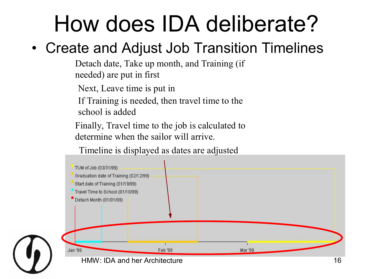## How does IDA deliberate?

#### • Create and Adjust Job Transition Timelines

Detach date, Take up month, and Training (if needed) are put in first

Next, Leave time is put in

If Training is needed, then travel time to the

school is added

Finally, Travel time to the job is calculated to determine when the sailor will arrive.

Timeline is displayed as dates are adjusted

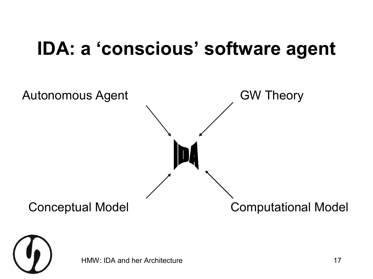#### **IDA: a 'conscious' software agent**



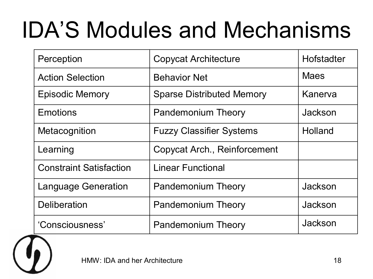## IDA'S Modules and Mechanisms

| Perception                     | <b>Copycat Architecture</b>      | Hofstadter  |  |
|--------------------------------|----------------------------------|-------------|--|
| <b>Action Selection</b>        | <b>Behavior Net</b>              | <b>Maes</b> |  |
| <b>Episodic Memory</b>         | <b>Sparse Distributed Memory</b> | Kanerva     |  |
| Emotions                       | <b>Pandemonium Theory</b>        | Jackson     |  |
| Metacognition                  | <b>Fuzzy Classifier Systems</b>  | Holland     |  |
| Learning                       | Copycat Arch., Reinforcement     |             |  |
| <b>Constraint Satisfaction</b> | <b>Linear Functional</b>         |             |  |
| <b>Language Generation</b>     | <b>Pandemonium Theory</b>        | Jackson     |  |
| <b>Deliberation</b>            | <b>Pandemonium Theory</b>        | Jackson     |  |
| 'Consciousness'                | <b>Pandemonium Theory</b>        | Jackson     |  |

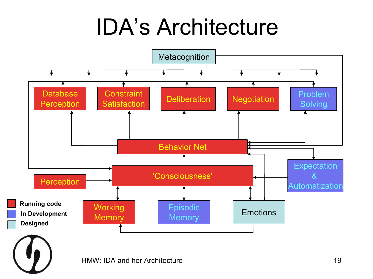## IDA's Architecture

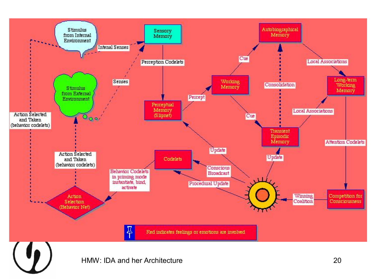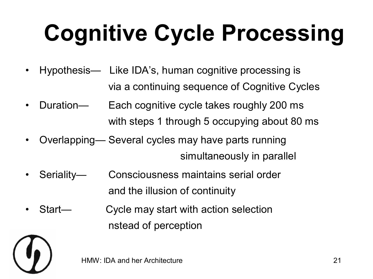# **Cognitive Cycle Processing**

- Hypothesis— Like IDA's, human cognitive processing is via a continuing sequence of Cognitive Cycles
- Duration— Each cognitive cycle takes roughly 200 ms with steps 1 through 5 occupying about 80 ms
- Overlapping— Several cycles may have parts running simultaneously in parallel
- Seriality— Consciousness maintains serial order and the illusion of continuity
- Start— Cycle may start with action selection nstead of perception

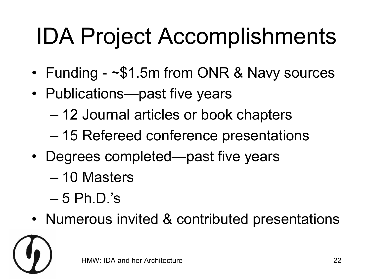# IDA Project Accomplishments

- Funding  $\frac{1}{5}$ 1.5m from ONR & Navy sources
- Publications—past five years
	- 12 Journal articles or book chapters
	- 15 Refereed conference presentations
- Degrees completed—past five years
	- 10 Masters
	- $-5$  Ph.D.'s
- Numerous invited & contributed presentations

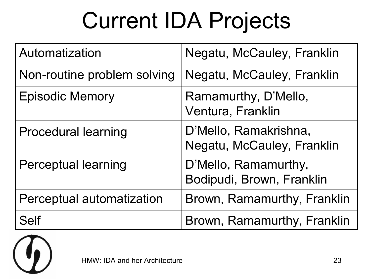## Current IDA Projects

| Automatization              | Negatu, McCauley, Franklin                          |
|-----------------------------|-----------------------------------------------------|
| Non-routine problem solving | Negatu, McCauley, Franklin                          |
| <b>Episodic Memory</b>      | Ramamurthy, D'Mello,<br>Ventura, Franklin           |
| <b>Procedural learning</b>  | D'Mello, Ramakrishna,<br>Negatu, McCauley, Franklin |
| <b>Perceptual learning</b>  | D'Mello, Ramamurthy,<br>Bodipudi, Brown, Franklin   |
| Perceptual automatization   | Brown, Ramamurthy, Franklin                         |
| <b>Self</b>                 | Brown, Ramamurthy, Franklin                         |

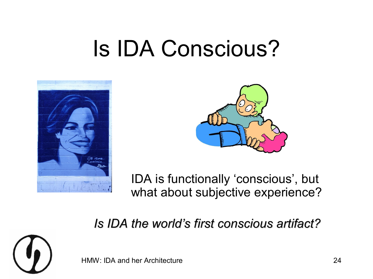### Is IDA Conscious?





IDA is functionally 'conscious', but what about subjective experience?

#### *Is IDA the world's first conscious artifact?*

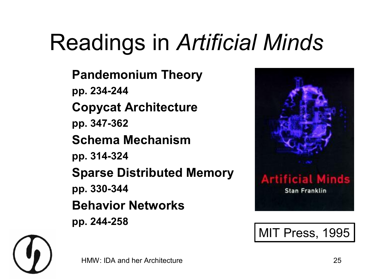# Readings in *Artificial Minds*

**Pandemonium Theory pp. 234244 Copycat Architecture pp. 347362 Schema Mechanism pp. 314324 Sparse Distributed Memory pp. 330344 Behavior Networks pp. 244258**